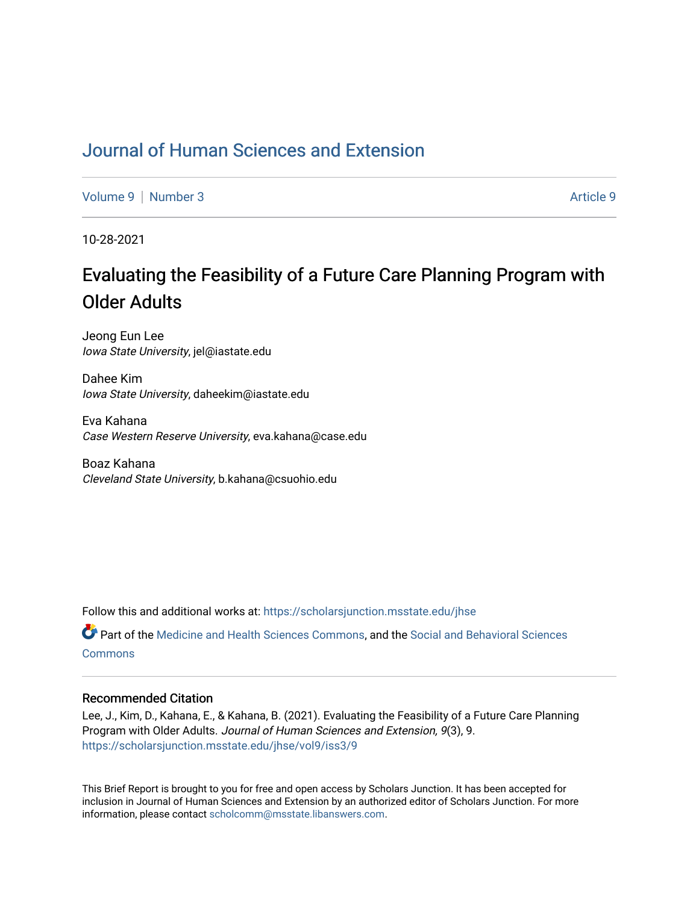## [Journal of Human Sciences and Extension](https://scholarsjunction.msstate.edu/jhse)

[Volume 9](https://scholarsjunction.msstate.edu/jhse/vol9) | [Number 3](https://scholarsjunction.msstate.edu/jhse/vol9/iss3) Article 9

10-28-2021

# Evaluating the Feasibility of a Future Care Planning Program with Older Adults

Jeong Eun Lee Iowa State University, jel@iastate.edu

Dahee Kim Iowa State University, daheekim@iastate.edu

Eva Kahana Case Western Reserve University, eva.kahana@case.edu

Boaz Kahana Cleveland State University, b.kahana@csuohio.edu

Follow this and additional works at: [https://scholarsjunction.msstate.edu/jhse](https://scholarsjunction.msstate.edu/jhse?utm_source=scholarsjunction.msstate.edu%2Fjhse%2Fvol9%2Fiss3%2F9&utm_medium=PDF&utm_campaign=PDFCoverPages)

Part of the [Medicine and Health Sciences Commons,](http://network.bepress.com/hgg/discipline/648?utm_source=scholarsjunction.msstate.edu%2Fjhse%2Fvol9%2Fiss3%2F9&utm_medium=PDF&utm_campaign=PDFCoverPages) and the [Social and Behavioral Sciences](http://network.bepress.com/hgg/discipline/316?utm_source=scholarsjunction.msstate.edu%2Fjhse%2Fvol9%2Fiss3%2F9&utm_medium=PDF&utm_campaign=PDFCoverPages) **[Commons](http://network.bepress.com/hgg/discipline/316?utm_source=scholarsjunction.msstate.edu%2Fjhse%2Fvol9%2Fiss3%2F9&utm_medium=PDF&utm_campaign=PDFCoverPages)** 

#### Recommended Citation

Lee, J., Kim, D., Kahana, E., & Kahana, B. (2021). Evaluating the Feasibility of a Future Care Planning Program with Older Adults. Journal of Human Sciences and Extension, 9(3), 9. [https://scholarsjunction.msstate.edu/jhse/vol9/iss3/9](https://scholarsjunction.msstate.edu/jhse/vol9/iss3/9?utm_source=scholarsjunction.msstate.edu%2Fjhse%2Fvol9%2Fiss3%2F9&utm_medium=PDF&utm_campaign=PDFCoverPages)

This Brief Report is brought to you for free and open access by Scholars Junction. It has been accepted for inclusion in Journal of Human Sciences and Extension by an authorized editor of Scholars Junction. For more information, please contact [scholcomm@msstate.libanswers.com](mailto:scholcomm@msstate.libanswers.com).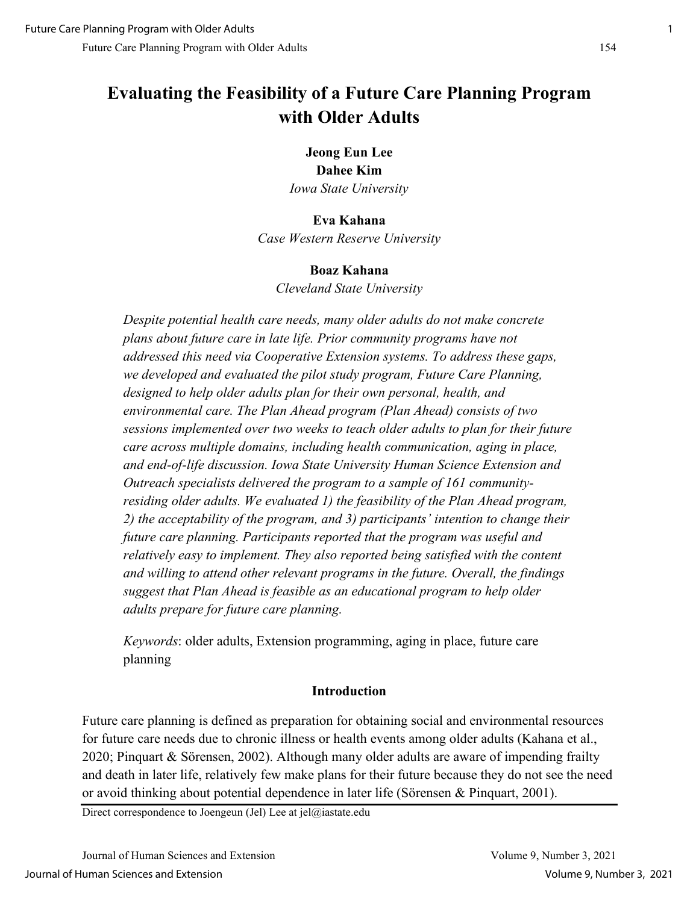## **Evaluating the Feasibility of a Future Care Planning Program with Older Adults**

## **Jeong Eun Lee Dahee Kim** *Iowa State University*

#### **Eva Kahana**

*Case Western Reserve University*

#### **Boaz Kahana**

*Cleveland State University*

*Despite potential health care needs, many older adults do not make concrete plans about future care in late life. Prior community programs have not addressed this need via Cooperative Extension systems. To address these gaps, we developed and evaluated the pilot study program, Future Care Planning, designed to help older adults plan for their own personal, health, and environmental care. The Plan Ahead program (Plan Ahead) consists of two sessions implemented over two weeks to teach older adults to plan for their future care across multiple domains, including health communication, aging in place, and end-of-life discussion. Iowa State University Human Science Extension and Outreach specialists delivered the program to a sample of 161 communityresiding older adults. We evaluated 1) the feasibility of the Plan Ahead program, 2) the acceptability of the program, and 3) participants' intention to change their future care planning. Participants reported that the program was useful and relatively easy to implement. They also reported being satisfied with the content and willing to attend other relevant programs in the future. Overall, the findings suggest that Plan Ahead is feasible as an educational program to help older adults prepare for future care planning.* 

*Keywords*: older adults, Extension programming, aging in place, future care planning

#### **Introduction**

Future care planning is defined as preparation for obtaining social and environmental resources for future care needs due to chronic illness or health events among older adults (Kahana et al., 2020; Pinquart & Sӧrensen, 2002). Although many older adults are aware of impending frailty and death in later life, relatively few make plans for their future because they do not see the need or avoid thinking about potential dependence in later life (Sörensen & Pinquart, 2001).

Direct correspondence to Joengeun (Jel) Lee at jel $@$ iastate.edu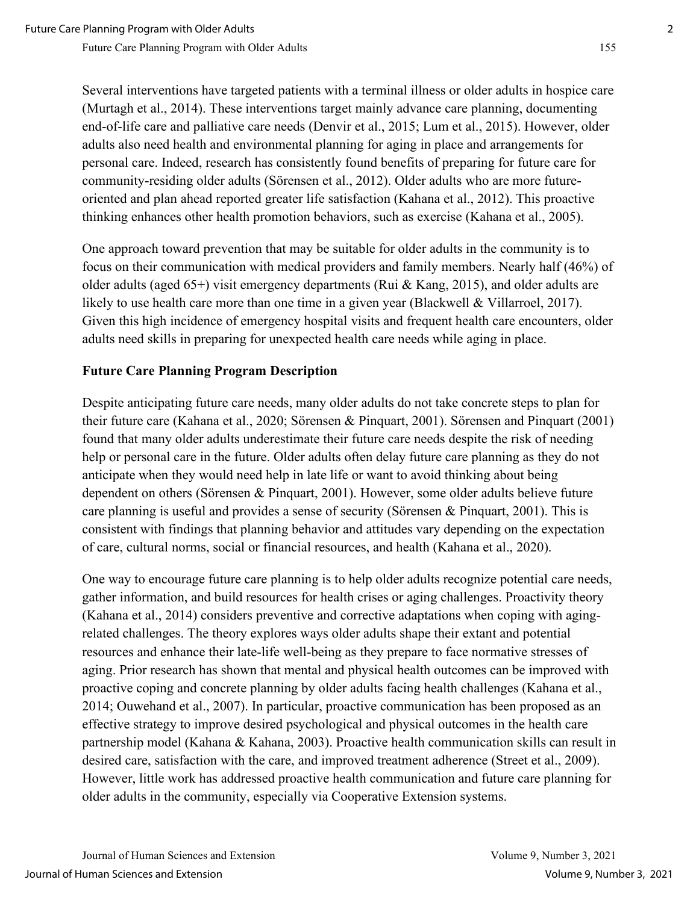Several interventions have targeted patients with a terminal illness or older adults in hospice care (Murtagh et al., 2014). These interventions target mainly advance care planning, documenting end-of-life care and palliative care needs (Denvir et al., 2015; Lum et al., 2015). However, older adults also need health and environmental planning for aging in place and arrangements for personal care. Indeed, research has consistently found benefits of preparing for future care for community-residing older adults (Sӧrensen et al., 2012). Older adults who are more futureoriented and plan ahead reported greater life satisfaction (Kahana et al., 2012). This proactive thinking enhances other health promotion behaviors, such as exercise (Kahana et al., 2005).

One approach toward prevention that may be suitable for older adults in the community is to focus on their communication with medical providers and family members. Nearly half (46%) of older adults (aged 65+) visit emergency departments (Rui & Kang, 2015), and older adults are likely to use health care more than one time in a given year (Blackwell & Villarroel, 2017). Given this high incidence of emergency hospital visits and frequent health care encounters, older adults need skills in preparing for unexpected health care needs while aging in place.

## **Future Care Planning Program Description**

Despite anticipating future care needs, many older adults do not take concrete steps to plan for their future care (Kahana et al., 2020; Sӧrensen & Pinquart, 2001). Sӧrensen and Pinquart (2001) found that many older adults underestimate their future care needs despite the risk of needing help or personal care in the future. Older adults often delay future care planning as they do not anticipate when they would need help in late life or want to avoid thinking about being dependent on others (Sӧrensen & Pinquart, 2001). However, some older adults believe future care planning is useful and provides a sense of security (Sörensen & Pinquart, 2001). This is consistent with findings that planning behavior and attitudes vary depending on the expectation of care, cultural norms, social or financial resources, and health (Kahana et al., 2020).

One way to encourage future care planning is to help older adults recognize potential care needs, gather information, and build resources for health crises or aging challenges. Proactivity theory (Kahana et al., 2014) considers preventive and corrective adaptations when coping with agingrelated challenges. The theory explores ways older adults shape their extant and potential resources and enhance their late-life well-being as they prepare to face normative stresses of aging. Prior research has shown that mental and physical health outcomes can be improved with proactive coping and concrete planning by older adults facing health challenges (Kahana et al., 2014; Ouwehand et al., 2007). In particular, proactive communication has been proposed as an effective strategy to improve desired psychological and physical outcomes in the health care partnership model (Kahana & Kahana, 2003). Proactive health communication skills can result in desired care, satisfaction with the care, and improved treatment adherence (Street et al., 2009). However, little work has addressed proactive health communication and future care planning for older adults in the community, especially via Cooperative Extension systems.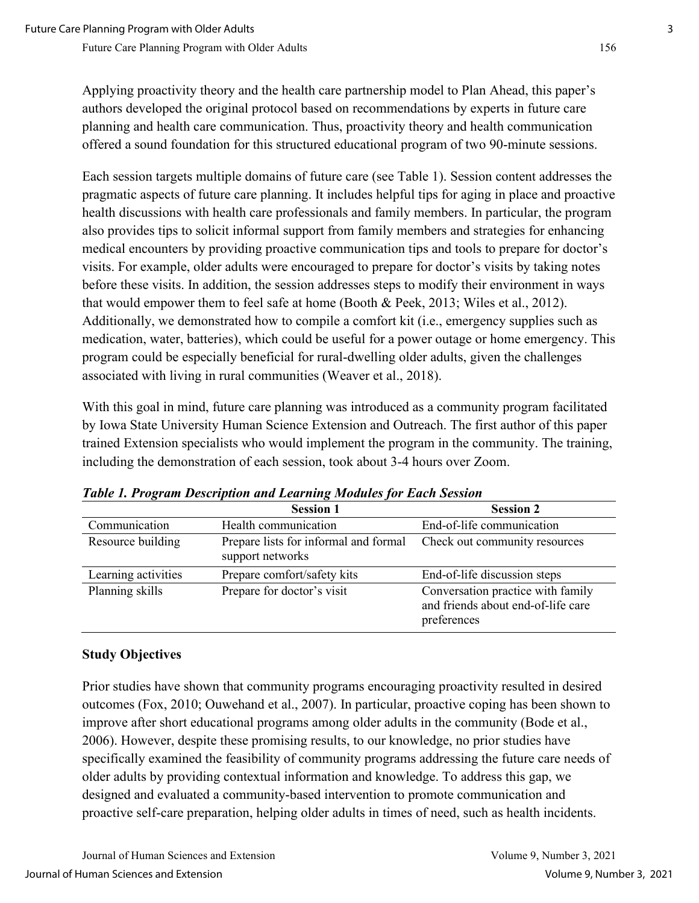Applying proactivity theory and the health care partnership model to Plan Ahead, this paper's authors developed the original protocol based on recommendations by experts in future care planning and health care communication. Thus, proactivity theory and health communication offered a sound foundation for this structured educational program of two 90-minute sessions.

Each session targets multiple domains of future care (see Table 1). Session content addresses the pragmatic aspects of future care planning. It includes helpful tips for aging in place and proactive health discussions with health care professionals and family members. In particular, the program also provides tips to solicit informal support from family members and strategies for enhancing medical encounters by providing proactive communication tips and tools to prepare for doctor's visits. For example, older adults were encouraged to prepare for doctor's visits by taking notes before these visits. In addition, the session addresses steps to modify their environment in ways that would empower them to feel safe at home (Booth & Peek, 2013; Wiles et al., 2012). Additionally, we demonstrated how to compile a comfort kit (i.e., emergency supplies such as medication, water, batteries), which could be useful for a power outage or home emergency. This program could be especially beneficial for rural-dwelling older adults, given the challenges associated with living in rural communities (Weaver et al., 2018).

With this goal in mind, future care planning was introduced as a community program facilitated by Iowa State University Human Science Extension and Outreach. The first author of this paper trained Extension specialists who would implement the program in the community. The training, including the demonstration of each session, took about 3-4 hours over Zoom.

|                     | <b>Session 1</b>                                          | <b>Session 2</b>                                                                       |
|---------------------|-----------------------------------------------------------|----------------------------------------------------------------------------------------|
| Communication       | Health communication                                      | End-of-life communication                                                              |
| Resource building   | Prepare lists for informal and formal<br>support networks | Check out community resources                                                          |
| Learning activities | Prepare comfort/safety kits                               | End-of-life discussion steps                                                           |
| Planning skills     | Prepare for doctor's visit                                | Conversation practice with family<br>and friends about end-of-life care<br>preferences |

*Table 1. Program Description and Learning Modules for Each Session* 

## **Study Objectives**

Prior studies have shown that community programs encouraging proactivity resulted in desired outcomes (Fox, 2010; Ouwehand et al., 2007). In particular, proactive coping has been shown to improve after short educational programs among older adults in the community (Bode et al., 2006). However, despite these promising results, to our knowledge, no prior studies have specifically examined the feasibility of community programs addressing the future care needs of older adults by providing contextual information and knowledge. To address this gap, we designed and evaluated a community-based intervention to promote communication and proactive self-care preparation, helping older adults in times of need, such as health incidents.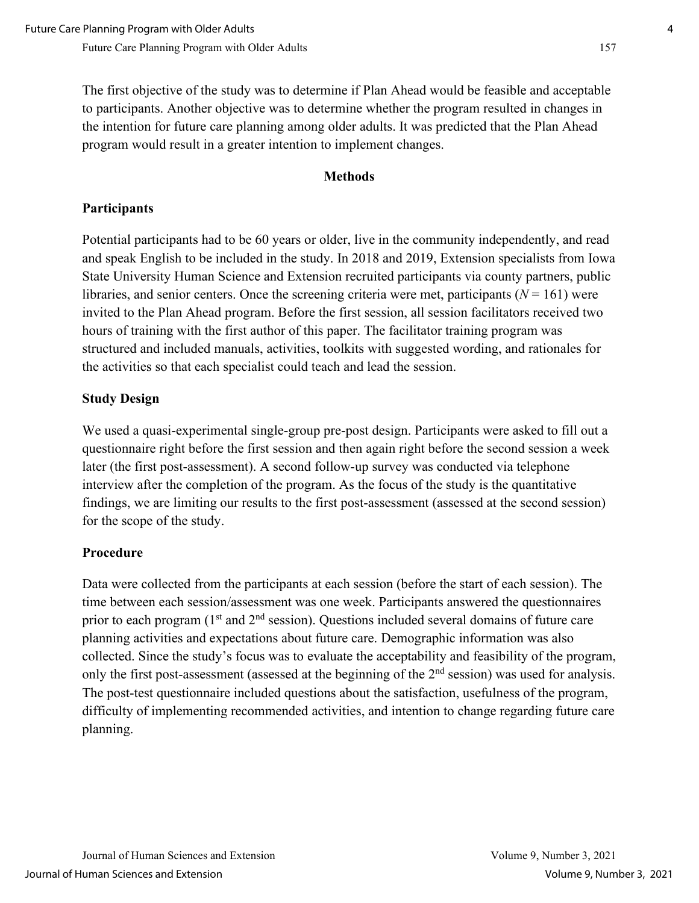The first objective of the study was to determine if Plan Ahead would be feasible and acceptable to participants. Another objective was to determine whether the program resulted in changes in the intention for future care planning among older adults. It was predicted that the Plan Ahead program would result in a greater intention to implement changes.

#### **Methods**

### **Participants**

Potential participants had to be 60 years or older, live in the community independently, and read and speak English to be included in the study. In 2018 and 2019, Extension specialists from Iowa State University Human Science and Extension recruited participants via county partners, public libraries, and senior centers. Once the screening criteria were met, participants  $(N = 161)$  were invited to the Plan Ahead program. Before the first session, all session facilitators received two hours of training with the first author of this paper. The facilitator training program was structured and included manuals, activities, toolkits with suggested wording, and rationales for the activities so that each specialist could teach and lead the session.

## **Study Design**

We used a quasi-experimental single-group pre-post design. Participants were asked to fill out a questionnaire right before the first session and then again right before the second session a week later (the first post-assessment). A second follow-up survey was conducted via telephone interview after the completion of the program. As the focus of the study is the quantitative findings, we are limiting our results to the first post-assessment (assessed at the second session) for the scope of the study.

#### **Procedure**

Data were collected from the participants at each session (before the start of each session). The time between each session/assessment was one week. Participants answered the questionnaires prior to each program  $(1<sup>st</sup>$  and  $2<sup>nd</sup>$  session). Questions included several domains of future care planning activities and expectations about future care. Demographic information was also collected. Since the study's focus was to evaluate the acceptability and feasibility of the program, only the first post-assessment (assessed at the beginning of the  $2<sup>nd</sup>$  session) was used for analysis. The post-test questionnaire included questions about the satisfaction, usefulness of the program, difficulty of implementing recommended activities, and intention to change regarding future care planning.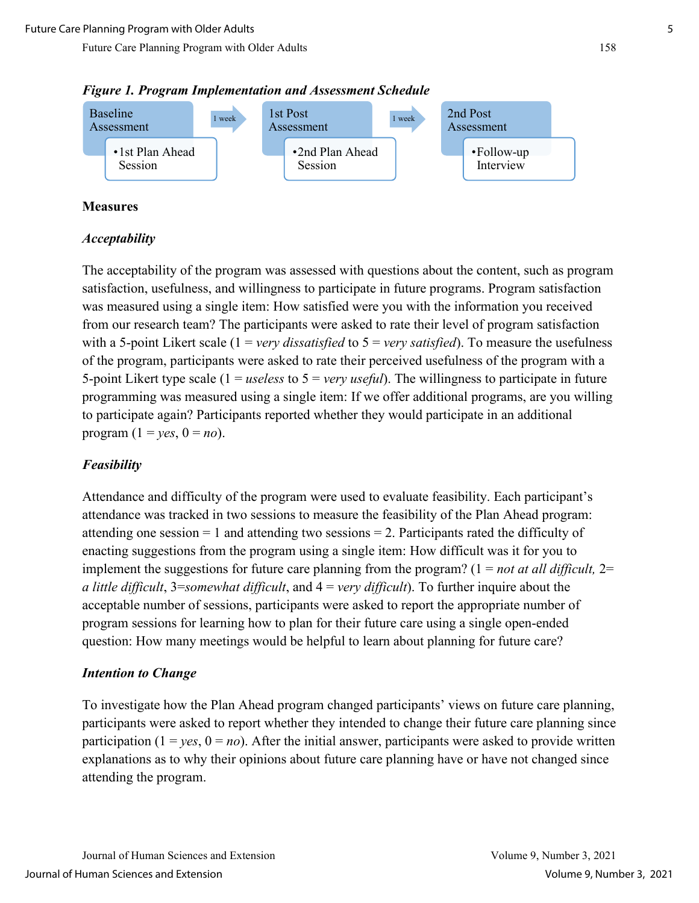



#### **Measures**

#### *Acceptability*

The acceptability of the program was assessed with questions about the content, such as program satisfaction, usefulness, and willingness to participate in future programs. Program satisfaction was measured using a single item: How satisfied were you with the information you received from our research team? The participants were asked to rate their level of program satisfaction with a 5-point Likert scale (1 = *very dissatisfied* to 5 = *very satisfied*). To measure the usefulness of the program, participants were asked to rate their perceived usefulness of the program with a 5-point Likert type scale (1 = *useless* to 5 = *very useful*). The willingness to participate in future programming was measured using a single item: If we offer additional programs, are you willing to participate again? Participants reported whether they would participate in an additional program  $(1 = \gamma e s, 0 = n\omega)$ .

#### *Feasibility*

Attendance and difficulty of the program were used to evaluate feasibility. Each participant's attendance was tracked in two sessions to measure the feasibility of the Plan Ahead program: attending one session  $= 1$  and attending two sessions  $= 2$ . Participants rated the difficulty of enacting suggestions from the program using a single item: How difficult was it for you to implement the suggestions for future care planning from the program? (1 = *not at all difficult,* 2= *a little difficult*, 3=*somewhat difficult*, and 4 = *very difficult*). To further inquire about the acceptable number of sessions, participants were asked to report the appropriate number of program sessions for learning how to plan for their future care using a single open-ended question: How many meetings would be helpful to learn about planning for future care?

#### *Intention to Change*

To investigate how the Plan Ahead program changed participants' views on future care planning, participants were asked to report whether they intended to change their future care planning since participation  $(1 = yes, 0 = no)$ . After the initial answer, participants were asked to provide written explanations as to why their opinions about future care planning have or have not changed since attending the program.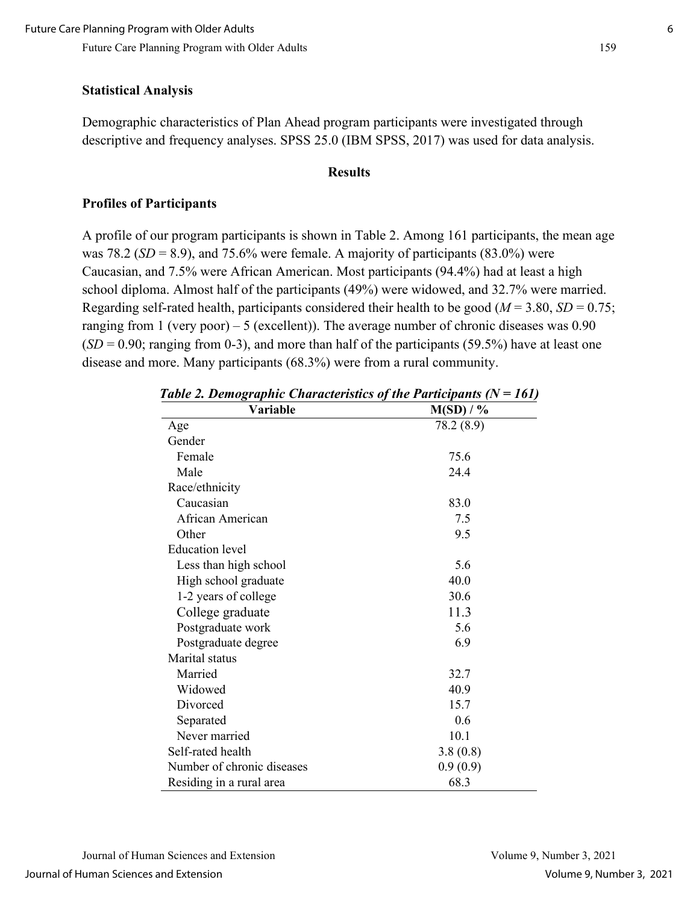## **Statistical Analysis**

Demographic characteristics of Plan Ahead program participants were investigated through descriptive and frequency analyses. SPSS 25.0 (IBM SPSS, 2017) was used for data analysis.

#### **Results**

## **Profiles of Participants**

A profile of our program participants is shown in Table 2. Among 161 participants, the mean age was 78.2 ( $SD = 8.9$ ), and 75.6% were female. A majority of participants (83.0%) were Caucasian, and 7.5% were African American. Most participants (94.4%) had at least a high school diploma. Almost half of the participants (49%) were widowed, and 32.7% were married. Regarding self-rated health, participants considered their health to be good ( $M = 3.80$ ,  $SD = 0.75$ ; ranging from 1 (very poor) – 5 (excellent)). The average number of chronic diseases was  $0.90$  $(SD = 0.90;$  ranging from 0-3), and more than half of the participants (59.5%) have at least one disease and more. Many participants (68.3%) were from a rural community.

| Variable                   | $M(SD) / \%$ |
|----------------------------|--------------|
| Age                        | 78.2 (8.9)   |
| Gender                     |              |
| Female                     | 75.6         |
| Male                       | 24.4         |
| Race/ethnicity             |              |
| Caucasian                  | 83.0         |
| African American           | 7.5          |
| Other                      | 9.5          |
| <b>Education</b> level     |              |
| Less than high school      | 5.6          |
| High school graduate       | 40.0         |
| 1-2 years of college       | 30.6         |
| College graduate           | 11.3         |
| Postgraduate work          | 5.6          |
| Postgraduate degree        | 6.9          |
| Marital status             |              |
| Married                    | 32.7         |
| Widowed                    | 40.9         |
| Divorced                   | 15.7         |
| Separated                  | 0.6          |
| Never married              | 10.1         |
| Self-rated health          | 3.8(0.8)     |
| Number of chronic diseases | 0.9(0.9)     |
| Residing in a rural area   | 68.3         |

*Table 2. Demographic Characteristics of the Participants (N = 161)*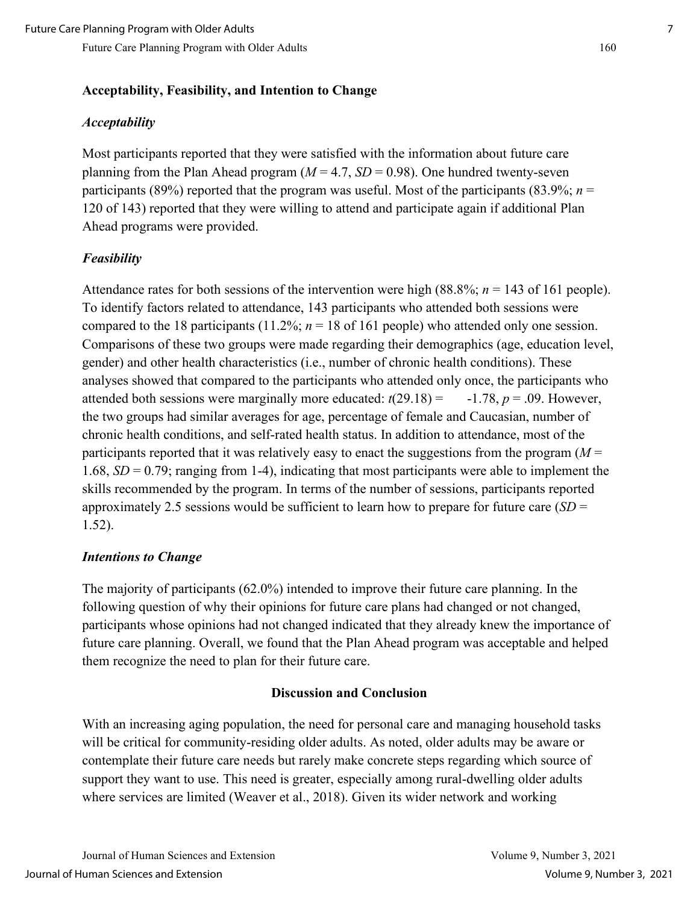#### **Acceptability, Feasibility, and Intention to Change**

#### *Acceptability*

Most participants reported that they were satisfied with the information about future care planning from the Plan Ahead program  $(M = 4.7, SD = 0.98)$ . One hundred twenty-seven participants (89%) reported that the program was useful. Most of the participants (83.9%;  $n =$ 120 of 143) reported that they were willing to attend and participate again if additional Plan Ahead programs were provided.

#### *Feasibility*

Attendance rates for both sessions of the intervention were high (88.8%; *n* = 143 of 161 people). To identify factors related to attendance, 143 participants who attended both sessions were compared to the 18 participants (11.2%;  $n = 18$  of 161 people) who attended only one session. Comparisons of these two groups were made regarding their demographics (age, education level, gender) and other health characteristics (i.e., number of chronic health conditions). These analyses showed that compared to the participants who attended only once, the participants who attended both sessions were marginally more educated:  $t(29.18) = -1.78$ ,  $p = .09$ . However, the two groups had similar averages for age, percentage of female and Caucasian, number of chronic health conditions, and self-rated health status. In addition to attendance, most of the participants reported that it was relatively easy to enact the suggestions from the program (*M* = 1.68, *SD* = 0.79; ranging from 1-4), indicating that most participants were able to implement the skills recommended by the program. In terms of the number of sessions, participants reported approximately 2.5 sessions would be sufficient to learn how to prepare for future care (*SD* = 1.52).

#### *Intentions to Change*

The majority of participants (62.0%) intended to improve their future care planning. In the following question of why their opinions for future care plans had changed or not changed, participants whose opinions had not changed indicated that they already knew the importance of future care planning. Overall, we found that the Plan Ahead program was acceptable and helped them recognize the need to plan for their future care.

#### **Discussion and Conclusion**

With an increasing aging population, the need for personal care and managing household tasks will be critical for community-residing older adults. As noted, older adults may be aware or contemplate their future care needs but rarely make concrete steps regarding which source of support they want to use. This need is greater, especially among rural-dwelling older adults where services are limited (Weaver et al., 2018). Given its wider network and working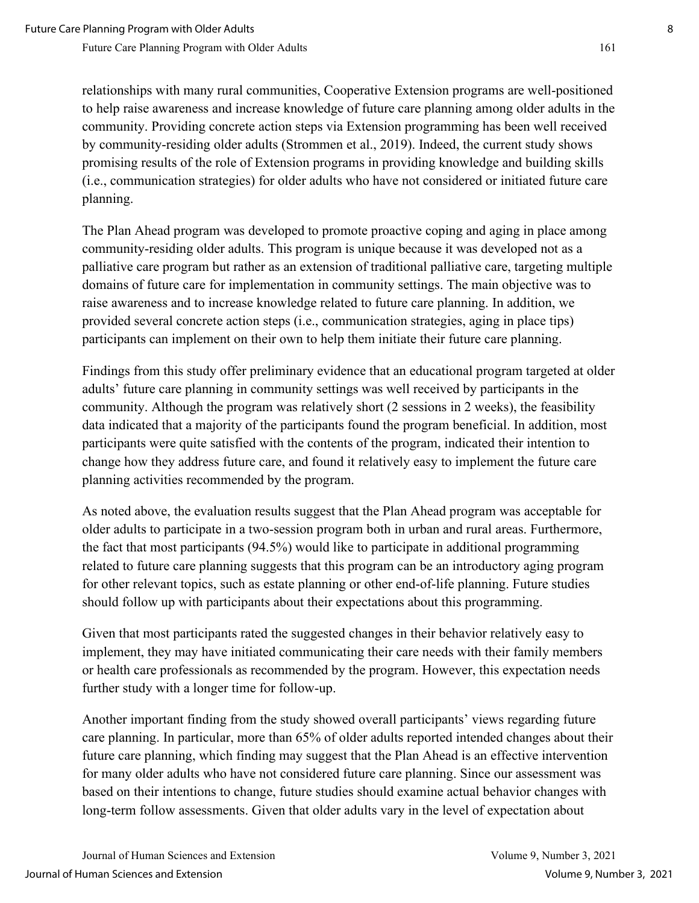relationships with many rural communities, Cooperative Extension programs are well-positioned to help raise awareness and increase knowledge of future care planning among older adults in the community. Providing concrete action steps via Extension programming has been well received by community-residing older adults (Strommen et al., 2019). Indeed, the current study shows promising results of the role of Extension programs in providing knowledge and building skills (i.e., communication strategies) for older adults who have not considered or initiated future care planning.

The Plan Ahead program was developed to promote proactive coping and aging in place among community-residing older adults. This program is unique because it was developed not as a palliative care program but rather as an extension of traditional palliative care, targeting multiple domains of future care for implementation in community settings. The main objective was to raise awareness and to increase knowledge related to future care planning. In addition, we provided several concrete action steps (i.e., communication strategies, aging in place tips) participants can implement on their own to help them initiate their future care planning.

Findings from this study offer preliminary evidence that an educational program targeted at older adults' future care planning in community settings was well received by participants in the community. Although the program was relatively short (2 sessions in 2 weeks), the feasibility data indicated that a majority of the participants found the program beneficial. In addition, most participants were quite satisfied with the contents of the program, indicated their intention to change how they address future care, and found it relatively easy to implement the future care planning activities recommended by the program.

As noted above, the evaluation results suggest that the Plan Ahead program was acceptable for older adults to participate in a two-session program both in urban and rural areas. Furthermore, the fact that most participants (94.5%) would like to participate in additional programming related to future care planning suggests that this program can be an introductory aging program for other relevant topics, such as estate planning or other end-of-life planning. Future studies should follow up with participants about their expectations about this programming.

Given that most participants rated the suggested changes in their behavior relatively easy to implement, they may have initiated communicating their care needs with their family members or health care professionals as recommended by the program. However, this expectation needs further study with a longer time for follow-up.

Another important finding from the study showed overall participants' views regarding future care planning. In particular, more than 65% of older adults reported intended changes about their future care planning, which finding may suggest that the Plan Ahead is an effective intervention for many older adults who have not considered future care planning. Since our assessment was based on their intentions to change, future studies should examine actual behavior changes with long-term follow assessments. Given that older adults vary in the level of expectation about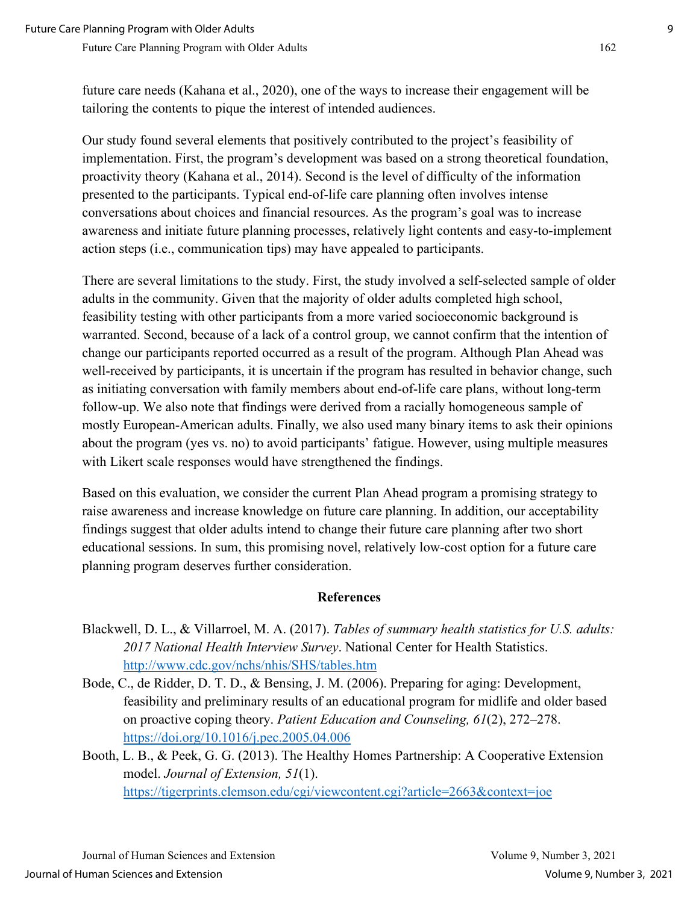future care needs (Kahana et al., 2020), one of the ways to increase their engagement will be tailoring the contents to pique the interest of intended audiences.

Our study found several elements that positively contributed to the project's feasibility of implementation. First, the program's development was based on a strong theoretical foundation, proactivity theory (Kahana et al., 2014). Second is the level of difficulty of the information presented to the participants. Typical end-of-life care planning often involves intense conversations about choices and financial resources. As the program's goal was to increase awareness and initiate future planning processes, relatively light contents and easy-to-implement action steps (i.e., communication tips) may have appealed to participants.

There are several limitations to the study. First, the study involved a self-selected sample of older adults in the community. Given that the majority of older adults completed high school, feasibility testing with other participants from a more varied socioeconomic background is warranted. Second, because of a lack of a control group, we cannot confirm that the intention of change our participants reported occurred as a result of the program. Although Plan Ahead was well-received by participants, it is uncertain if the program has resulted in behavior change, such as initiating conversation with family members about end-of-life care plans, without long-term follow-up. We also note that findings were derived from a racially homogeneous sample of mostly European-American adults. Finally, we also used many binary items to ask their opinions about the program (yes vs. no) to avoid participants' fatigue. However, using multiple measures with Likert scale responses would have strengthened the findings.

Based on this evaluation, we consider the current Plan Ahead program a promising strategy to raise awareness and increase knowledge on future care planning. In addition, our acceptability findings suggest that older adults intend to change their future care planning after two short educational sessions. In sum, this promising novel, relatively low-cost option for a future care planning program deserves further consideration.

#### **References**

- Blackwell, D. L., & Villarroel, M. A. (2017). *Tables of summary health statistics for U.S. adults: 2017 National Health Interview Survey*. National Center for Health Statistics. <http://www.cdc.gov/nchs/nhis/SHS/tables.htm>
- Bode, C., de Ridder, D. T. D., & Bensing, J. M. (2006). Preparing for aging: Development, feasibility and preliminary results of an educational program for midlife and older based on proactive coping theory. *Patient Education and Counseling, 61*(2), 272–278. <https://doi.org/10.1016/j.pec.2005.04.006>
- Booth, L. B., & Peek, G. G. (2013). The Healthy Homes Partnership: A Cooperative Extension model. *Journal of Extension, 51*(1). <https://tigerprints.clemson.edu/cgi/viewcontent.cgi?article=2663&context=joe>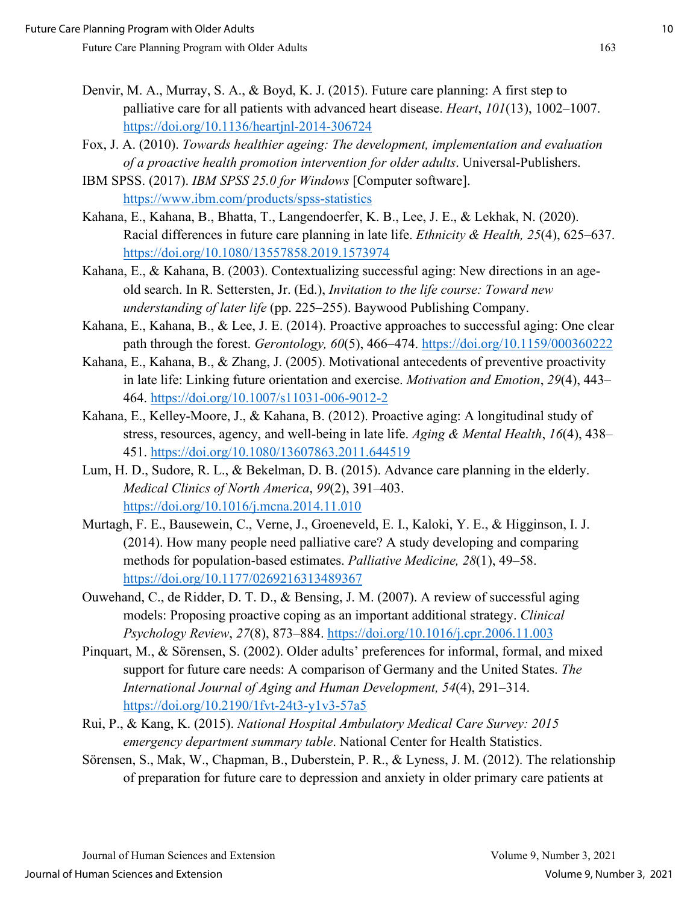- Denvir, M. A., Murray, S. A., & Boyd, K. J. (2015). Future care planning: A first step to palliative care for all patients with advanced heart disease. *Heart*, *101*(13), 1002–1007. <https://doi.org/10.1136/heartjnl-2014-306724>
- Fox, J. A. (2010). *Towards healthier ageing: The development, implementation and evaluation of a proactive health promotion intervention for older adults*. Universal-Publishers.
- IBM SPSS. (2017). *IBM SPSS 25.0 for Windows* [Computer software]. <https://www.ibm.com/products/spss-statistics>
- Kahana, E., Kahana, B., Bhatta, T., Langendoerfer, K. B., Lee, J. E., & Lekhak, N. (2020). Racial differences in future care planning in late life. *Ethnicity & Health, 25*(4), 625–637. <https://doi.org/10.1080/13557858.2019.1573974>
- Kahana, E., & Kahana, B. (2003). Contextualizing successful aging: New directions in an ageold search. In R. Settersten, Jr. (Ed.), *Invitation to the life course: Toward new understanding of later life* (pp. 225–255). Baywood Publishing Company.
- Kahana, E., Kahana, B., & Lee, J. E. (2014). Proactive approaches to successful aging: One clear path through the forest. *Gerontology, 60*(5), 466–474.<https://doi.org/10.1159/000360222>
- Kahana, E., Kahana, B., & Zhang, J. (2005). Motivational antecedents of preventive proactivity in late life: Linking future orientation and exercise. *Motivation and Emotion*, *29*(4), 443– 464.<https://doi.org/10.1007/s11031-006-9012-2>
- Kahana, E., Kelley-Moore, J., & Kahana, B. (2012). Proactive aging: A longitudinal study of stress, resources, agency, and well-being in late life. *Aging & Mental Health*, *16*(4), 438– 451.<https://doi.org/10.1080/13607863.2011.644519>
- Lum, H. D., Sudore, R. L., & Bekelman, D. B. (2015). Advance care planning in the elderly. *Medical Clinics of North America*, *99*(2), 391–403. <https://doi.org/10.1016/j.mcna.2014.11.010>
- Murtagh, F. E., Bausewein, C., Verne, J., Groeneveld, E. I., Kaloki, Y. E., & Higginson, I. J. (2014). How many people need palliative care? A study developing and comparing methods for population-based estimates. *Palliative Medicine, 28*(1), 49–58. <https://doi.org/10.1177/0269216313489367>
- Ouwehand, C., de Ridder, D. T. D., & Bensing, J. M. (2007). A review of successful aging models: Proposing proactive coping as an important additional strategy. *Clinical Psychology Review*, *27*(8), 873–884.<https://doi.org/10.1016/j.cpr.2006.11.003>
- Pinquart, M., & Sörensen, S. (2002). Older adults' preferences for informal, formal, and mixed support for future care needs: A comparison of Germany and the United States. *The International Journal of Aging and Human Development, 54*(4), 291–314. <https://doi.org/10.2190/1fvt-24t3-y1v3-57a5>
- Rui, P., & Kang, K. (2015). *National Hospital Ambulatory Medical Care Survey: 2015 emergency department summary table*. National Center for Health Statistics.
- Sörensen, S., Mak, W., Chapman, B., Duberstein, P. R., & Lyness, J. M. (2012). The relationship of preparation for future care to depression and anxiety in older primary care patients at